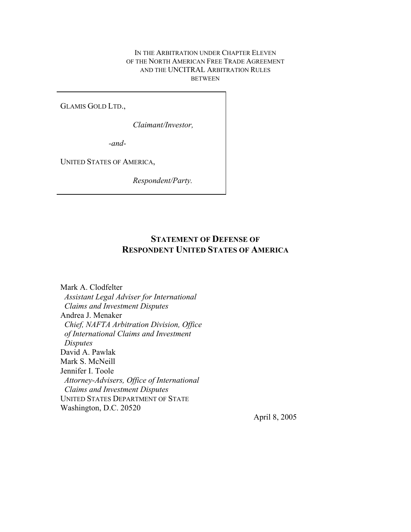## IN THE ARBITRATION UNDER CHAPTER ELEVEN OF THE NORTH AMERICAN FREE TRADE AGREEMENT AND THE UNCITRAL ARBITRATION RULES BETWEEN

GLAMIS GOLD LTD.,

*Claimant/Investor,* 

*-and-*

UNITED STATES OF AMERICA,

*Respondent/Party.*

# **STATEMENT OF DEFENSE OF RESPONDENT UNITED STATES OF AMERICA**

Mark A. Clodfelter *Assistant Legal Adviser for International Claims and Investment Disputes* Andrea J. Menaker *Chief, NAFTA Arbitration Division, Office of International Claims and Investment Disputes* David A. Pawlak Mark S. McNeill Jennifer I. Toole *Attorney-Advisers, Office of International Claims and Investment Disputes* UNITED STATES DEPARTMENT OF STATE Washington, D.C. 20520

April 8, 2005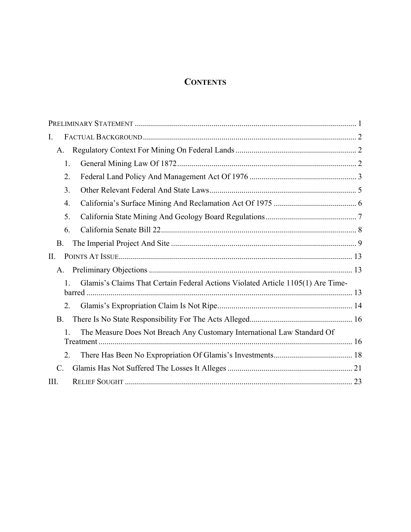# **CONTENTS**

| I.                                                                                                      |  |
|---------------------------------------------------------------------------------------------------------|--|
| A.                                                                                                      |  |
| 1.                                                                                                      |  |
| 2.                                                                                                      |  |
| 3.                                                                                                      |  |
| $\overline{4}$ .                                                                                        |  |
| 5.                                                                                                      |  |
| 6.                                                                                                      |  |
| <b>B.</b>                                                                                               |  |
| II.                                                                                                     |  |
| A.                                                                                                      |  |
| Glamis's Claims That Certain Federal Actions Violated Article 1105(1) Are Time-                         |  |
| 2.                                                                                                      |  |
| <b>B.</b>                                                                                               |  |
| The Measure Does Not Breach Any Customary International Law Standard Of<br>$\mathbf{1}$ .<br>Treatment. |  |
| 2.                                                                                                      |  |
| C.                                                                                                      |  |
| III.                                                                                                    |  |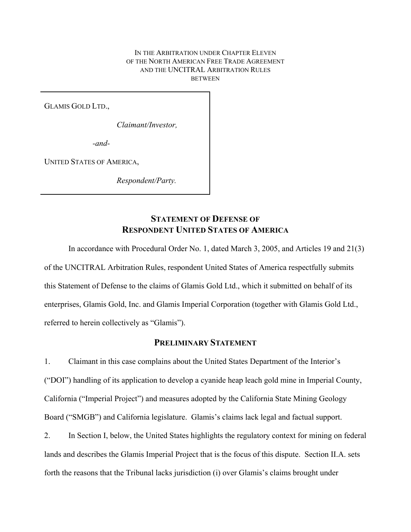### IN THE ARBITRATION UNDER CHAPTER ELEVEN OF THE NORTH AMERICAN FREE TRADE AGREEMENT AND THE UNCITRAL ARBITRATION RULES **BETWEEN**

GLAMIS GOLD LTD.,

*Claimant/Investor,* 

*-and-*

UNITED STATES OF AMERICA,

*Respondent/Party.*

# **STATEMENT OF DEFENSE OF RESPONDENT UNITED STATES OF AMERICA**

In accordance with Procedural Order No. 1, dated March 3, 2005, and Articles 19 and 21(3) of the UNCITRAL Arbitration Rules, respondent United States of America respectfully submits this Statement of Defense to the claims of Glamis Gold Ltd., which it submitted on behalf of its enterprises, Glamis Gold, Inc. and Glamis Imperial Corporation (together with Glamis Gold Ltd., referred to herein collectively as "Glamis").

# **PRELIMINARY STATEMENT**

1. Claimant in this case complains about the United States Department of the Interior's ("DOI") handling of its application to develop a cyanide heap leach gold mine in Imperial County, California ("Imperial Project") and measures adopted by the California State Mining Geology Board ("SMGB") and California legislature. Glamis's claims lack legal and factual support.

2. In Section I, below, the United States highlights the regulatory context for mining on federal lands and describes the Glamis Imperial Project that is the focus of this dispute. Section II.A. sets forth the reasons that the Tribunal lacks jurisdiction (i) over Glamis's claims brought under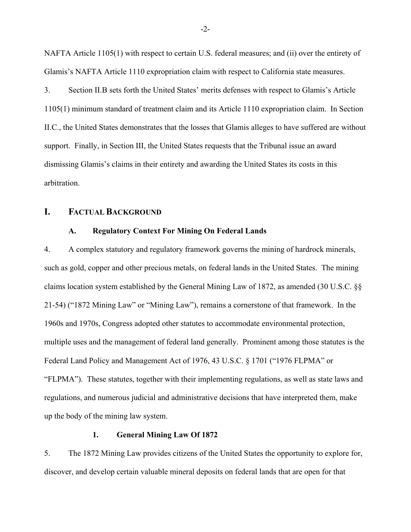NAFTA Article 1105(1) with respect to certain U.S. federal measures; and (ii) over the entirety of Glamis's NAFTA Article 1110 expropriation claim with respect to California state measures.

3. Section II.B sets forth the United States' merits defenses with respect to Glamis's Article 1105(1) minimum standard of treatment claim and its Article 1110 expropriation claim. In Section II.C., the United States demonstrates that the losses that Glamis alleges to have suffered are without support. Finally, in Section III, the United States requests that the Tribunal issue an award dismissing Glamis's claims in their entirety and awarding the United States its costs in this arbitration.

# **I. FACTUAL BACKGROUND**

## **A. Regulatory Context For Mining On Federal Lands**

4. A complex statutory and regulatory framework governs the mining of hardrock minerals, such as gold, copper and other precious metals, on federal lands in the United States. The mining claims location system established by the General Mining Law of 1872, as amended (30 U.S.C. §§ 21-54) ("1872 Mining Law" or "Mining Law"), remains a cornerstone of that framework. In the 1960s and 1970s, Congress adopted other statutes to accommodate environmental protection, multiple uses and the management of federal land generally. Prominent among those statutes is the Federal Land Policy and Management Act of 1976, 43 U.S.C. § 1701 ("1976 FLPMA" or "FLPMA"). These statutes, together with their implementing regulations, as well as state laws and regulations, and numerous judicial and administrative decisions that have interpreted them, make up the body of the mining law system.

## **1. General Mining Law Of 1872**

5. The 1872 Mining Law provides citizens of the United States the opportunity to explore for, discover, and develop certain valuable mineral deposits on federal lands that are open for that

-2-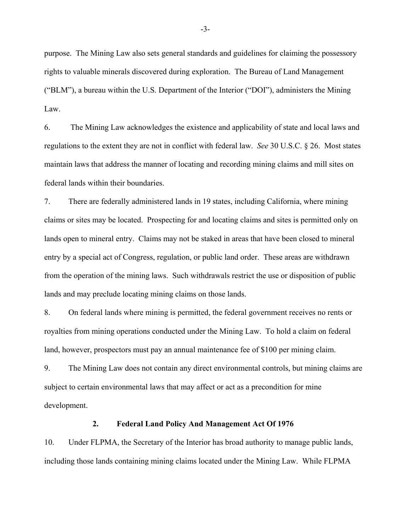purpose. The Mining Law also sets general standards and guidelines for claiming the possessory rights to valuable minerals discovered during exploration. The Bureau of Land Management ("BLM"), a bureau within the U.S. Department of the Interior ("DOI"), administers the Mining Law.

6. The Mining Law acknowledges the existence and applicability of state and local laws and regulations to the extent they are not in conflict with federal law. *See* 30 U.S.C. § 26. Most states maintain laws that address the manner of locating and recording mining claims and mill sites on federal lands within their boundaries.

7. There are federally administered lands in 19 states, including California, where mining claims or sites may be located. Prospecting for and locating claims and sites is permitted only on lands open to mineral entry. Claims may not be staked in areas that have been closed to mineral entry by a special act of Congress, regulation, or public land order. These areas are withdrawn from the operation of the mining laws. Such withdrawals restrict the use or disposition of public lands and may preclude locating mining claims on those lands.

8. On federal lands where mining is permitted, the federal government receives no rents or royalties from mining operations conducted under the Mining Law. To hold a claim on federal land, however, prospectors must pay an annual maintenance fee of \$100 per mining claim.

9. The Mining Law does not contain any direct environmental controls, but mining claims are subject to certain environmental laws that may affect or act as a precondition for mine development.

## **2. Federal Land Policy And Management Act Of 1976**

10. Under FLPMA, the Secretary of the Interior has broad authority to manage public lands, including those lands containing mining claims located under the Mining Law. While FLPMA

-3-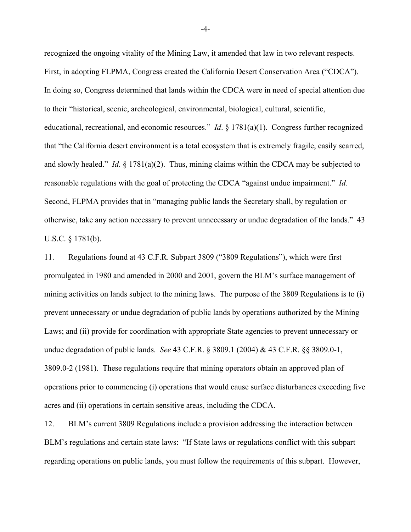recognized the ongoing vitality of the Mining Law, it amended that law in two relevant respects. First, in adopting FLPMA, Congress created the California Desert Conservation Area ("CDCA"). In doing so, Congress determined that lands within the CDCA were in need of special attention due to their "historical, scenic, archeological, environmental, biological, cultural, scientific, educational, recreational, and economic resources." *Id*. § 1781(a)(1). Congress further recognized that "the California desert environment is a total ecosystem that is extremely fragile, easily scarred, and slowly healed." *Id*. § 1781(a)(2). Thus, mining claims within the CDCA may be subjected to reasonable regulations with the goal of protecting the CDCA "against undue impairment." *Id.* Second, FLPMA provides that in "managing public lands the Secretary shall, by regulation or otherwise, take any action necessary to prevent unnecessary or undue degradation of the lands." 43 U.S.C. § 1781(b).

11. Regulations found at 43 C.F.R. Subpart 3809 ("3809 Regulations"), which were first promulgated in 1980 and amended in 2000 and 2001, govern the BLM's surface management of mining activities on lands subject to the mining laws. The purpose of the 3809 Regulations is to (i) prevent unnecessary or undue degradation of public lands by operations authorized by the Mining Laws; and (ii) provide for coordination with appropriate State agencies to prevent unnecessary or undue degradation of public lands. *See* 43 C.F.R. § 3809.1 (2004) & 43 C.F.R. §§ 3809.0-1, 3809.0-2 (1981). These regulations require that mining operators obtain an approved plan of operations prior to commencing (i) operations that would cause surface disturbances exceeding five acres and (ii) operations in certain sensitive areas, including the CDCA.

12. BLM's current 3809 Regulations include a provision addressing the interaction between BLM's regulations and certain state laws: "If State laws or regulations conflict with this subpart regarding operations on public lands, you must follow the requirements of this subpart. However,

-4-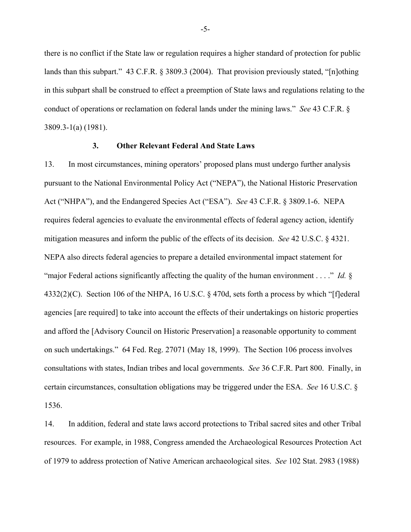there is no conflict if the State law or regulation requires a higher standard of protection for public lands than this subpart." 43 C.F.R. § 3809.3 (2004). That provision previously stated, "[n]othing in this subpart shall be construed to effect a preemption of State laws and regulations relating to the conduct of operations or reclamation on federal lands under the mining laws." *See* 43 C.F.R. § 3809.3-1(a) (1981).

## **3. Other Relevant Federal And State Laws**

13. In most circumstances, mining operators' proposed plans must undergo further analysis pursuant to the National Environmental Policy Act ("NEPA"), the National Historic Preservation Act ("NHPA"), and the Endangered Species Act ("ESA"). *See* 43 C.F.R. § 3809.1-6. NEPA requires federal agencies to evaluate the environmental effects of federal agency action, identify mitigation measures and inform the public of the effects of its decision. *See* 42 U.S.C. § 4321. NEPA also directs federal agencies to prepare a detailed environmental impact statement for "major Federal actions significantly affecting the quality of the human environment . . . ." *Id.* § 4332(2)(C). Section 106 of the NHPA, 16 U.S.C. § 470d, sets forth a process by which "[f]ederal agencies [are required] to take into account the effects of their undertakings on historic properties and afford the [Advisory Council on Historic Preservation] a reasonable opportunity to comment on such undertakings." 64 Fed. Reg. 27071 (May 18, 1999). The Section 106 process involves consultations with states, Indian tribes and local governments. *See* 36 C.F.R. Part 800. Finally, in certain circumstances, consultation obligations may be triggered under the ESA. *See* 16 U.S.C. § 1536.

14. In addition, federal and state laws accord protections to Tribal sacred sites and other Tribal resources. For example, in 1988, Congress amended the Archaeological Resources Protection Act of 1979 to address protection of Native American archaeological sites. *See* 102 Stat. 2983 (1988)

-5-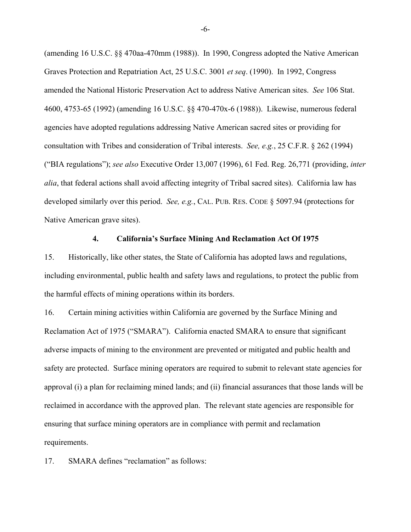(amending 16 U.S.C. §§ 470aa-470mm (1988)). In 1990, Congress adopted the Native American Graves Protection and Repatriation Act, 25 U.S.C. 3001 *et seq*. (1990). In 1992, Congress amended the National Historic Preservation Act to address Native American sites. *See* 106 Stat. 4600, 4753-65 (1992) (amending 16 U.S.C. §§ 470-470x-6 (1988)). Likewise, numerous federal agencies have adopted regulations addressing Native American sacred sites or providing for consultation with Tribes and consideration of Tribal interests. *See, e.g.*, 25 C.F.R. § 262 (1994) ("BIA regulations"); *see also* Executive Order 13,007 (1996), 61 Fed. Reg. 26,771 (providing, *inter alia*, that federal actions shall avoid affecting integrity of Tribal sacred sites). California law has developed similarly over this period. *See, e.g.*, CAL. PUB. RES. CODE § 5097.94 (protections for Native American grave sites).

### **4. California's Surface Mining And Reclamation Act Of 1975**

15. Historically, like other states, the State of California has adopted laws and regulations, including environmental, public health and safety laws and regulations, to protect the public from the harmful effects of mining operations within its borders.

16. Certain mining activities within California are governed by the Surface Mining and Reclamation Act of 1975 ("SMARA"). California enacted SMARA to ensure that significant adverse impacts of mining to the environment are prevented or mitigated and public health and safety are protected. Surface mining operators are required to submit to relevant state agencies for approval (i) a plan for reclaiming mined lands; and (ii) financial assurances that those lands will be reclaimed in accordance with the approved plan. The relevant state agencies are responsible for ensuring that surface mining operators are in compliance with permit and reclamation requirements.

17. SMARA defines "reclamation" as follows:

-6-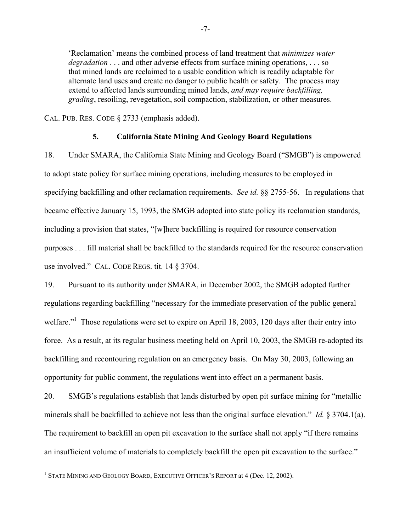'Reclamation' means the combined process of land treatment that *minimizes water degradation* . . . and other adverse effects from surface mining operations, . . . so that mined lands are reclaimed to a usable condition which is readily adaptable for alternate land uses and create no danger to public health or safety. The process may extend to affected lands surrounding mined lands, *and may require backfilling, grading*, resoiling, revegetation, soil compaction, stabilization, or other measures.

CAL. PUB. RES. CODE § 2733 (emphasis added).

## **5. California State Mining And Geology Board Regulations**

18. Under SMARA, the California State Mining and Geology Board ("SMGB") is empowered to adopt state policy for surface mining operations, including measures to be employed in specifying backfilling and other reclamation requirements. *See id.* §§ 2755-56. In regulations that became effective January 15, 1993, the SMGB adopted into state policy its reclamation standards, including a provision that states, "[w]here backfilling is required for resource conservation purposes . . . fill material shall be backfilled to the standards required for the resource conservation use involved." CAL. CODE REGS. tit. 14 § 3704.

19. Pursuant to its authority under SMARA, in December 2002, the SMGB adopted further regulations regarding backfilling "necessary for the immediate preservation of the public general welfare."<sup>1</sup> Those regulations were set to expire on April 18, 2003, 120 days after their entry into force. As a result, at its regular business meeting held on April 10, 2003, the SMGB re-adopted its backfilling and recontouring regulation on an emergency basis. On May 30, 2003, following an opportunity for public comment, the regulations went into effect on a permanent basis.

20. SMGB's regulations establish that lands disturbed by open pit surface mining for "metallic minerals shall be backfilled to achieve not less than the original surface elevation." *Id.* § 3704.1(a). The requirement to backfill an open pit excavation to the surface shall not apply "if there remains an insufficient volume of materials to completely backfill the open pit excavation to the surface."

<u>.</u>

<sup>&</sup>lt;sup>1</sup> STATE MINING AND GEOLOGY BOARD, EXECUTIVE OFFICER'S REPORT at 4 (Dec. 12, 2002).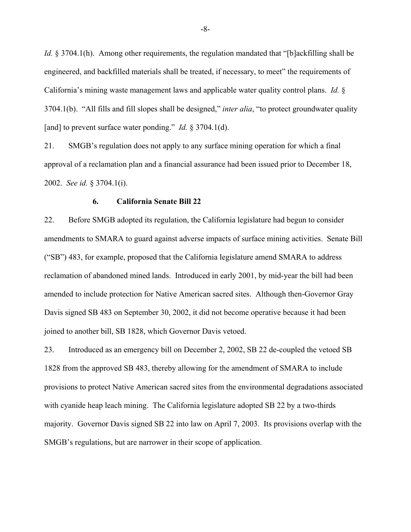*Id.* § 3704.1(h). Among other requirements, the regulation mandated that "[b]ackfilling shall be engineered, and backfilled materials shall be treated, if necessary, to meet" the requirements of California's mining waste management laws and applicable water quality control plans. *Id.* § 3704.1(b). "All fills and fill slopes shall be designed," *inter alia*, "to protect groundwater quality [and] to prevent surface water ponding." *Id.* § 3704.1(d).

21. SMGB's regulation does not apply to any surface mining operation for which a final approval of a reclamation plan and a financial assurance had been issued prior to December 18, 2002. *See id.* § 3704.1(i).

#### **6. California Senate Bill 22**

22. Before SMGB adopted its regulation, the California legislature had begun to consider amendments to SMARA to guard against adverse impacts of surface mining activities. Senate Bill ("SB") 483, for example, proposed that the California legislature amend SMARA to address reclamation of abandoned mined lands. Introduced in early 2001, by mid-year the bill had been amended to include protection for Native American sacred sites. Although then-Governor Gray Davis signed SB 483 on September 30, 2002, it did not become operative because it had been joined to another bill, SB 1828, which Governor Davis vetoed.

23. Introduced as an emergency bill on December 2, 2002, SB 22 de-coupled the vetoed SB 1828 from the approved SB 483, thereby allowing for the amendment of SMARA to include provisions to protect Native American sacred sites from the environmental degradations associated with cyanide heap leach mining. The California legislature adopted SB 22 by a two-thirds majority. Governor Davis signed SB 22 into law on April 7, 2003. Its provisions overlap with the SMGB's regulations, but are narrower in their scope of application.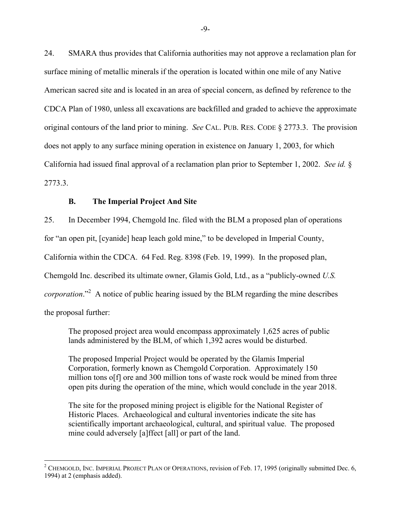24. SMARA thus provides that California authorities may not approve a reclamation plan for surface mining of metallic minerals if the operation is located within one mile of any Native American sacred site and is located in an area of special concern, as defined by reference to the CDCA Plan of 1980, unless all excavations are backfilled and graded to achieve the approximate original contours of the land prior to mining. *See* CAL. PUB. RES. CODE § 2773.3. The provision does not apply to any surface mining operation in existence on January 1, 2003, for which California had issued final approval of a reclamation plan prior to September 1, 2002. *See id.* § 2773.3.

# **B. The Imperial Project And Site**

25. In December 1994, Chemgold Inc. filed with the BLM a proposed plan of operations

for "an open pit, [cyanide] heap leach gold mine," to be developed in Imperial County,

California within the CDCA. 64 Fed. Reg. 8398 (Feb. 19, 1999). In the proposed plan,

Chemgold Inc. described its ultimate owner, Glamis Gold, Ltd., as a "publicly-owned *U.S.*

*corporation*."<sup>2</sup> A notice of public hearing issued by the BLM regarding the mine describes

the proposal further:

1

The proposed project area would encompass approximately 1,625 acres of public lands administered by the BLM, of which 1,392 acres would be disturbed.

The proposed Imperial Project would be operated by the Glamis Imperial Corporation, formerly known as Chemgold Corporation. Approximately 150 million tons o[f] ore and 300 million tons of waste rock would be mined from three open pits during the operation of the mine, which would conclude in the year 2018.

The site for the proposed mining project is eligible for the National Register of Historic Places. Archaeological and cultural inventories indicate the site has scientifically important archaeological, cultural, and spiritual value. The proposed mine could adversely [a]ffect [all] or part of the land.

<sup>&</sup>lt;sup>2</sup> CHEMGOLD, INC. IMPERIAL PROJECT PLAN OF OPERATIONS, revision of Feb. 17, 1995 (originally submitted Dec. 6, 1994) at 2 (emphasis added).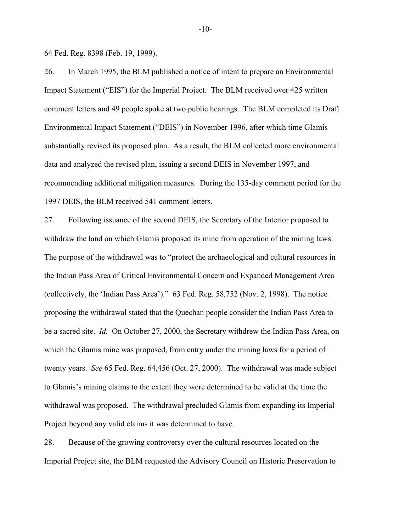64 Fed. Reg. 8398 (Feb. 19, 1999).

26. In March 1995, the BLM published a notice of intent to prepare an Environmental Impact Statement ("EIS") for the Imperial Project. The BLM received over 425 written comment letters and 49 people spoke at two public hearings. The BLM completed its Draft Environmental Impact Statement ("DEIS") in November 1996, after which time Glamis substantially revised its proposed plan. As a result, the BLM collected more environmental data and analyzed the revised plan, issuing a second DEIS in November 1997, and recommending additional mitigation measures. During the 135-day comment period for the 1997 DEIS, the BLM received 541 comment letters.

27. Following issuance of the second DEIS, the Secretary of the Interior proposed to withdraw the land on which Glamis proposed its mine from operation of the mining laws. The purpose of the withdrawal was to "protect the archaeological and cultural resources in the Indian Pass Area of Critical Environmental Concern and Expanded Management Area (collectively, the 'Indian Pass Area')." 63 Fed. Reg. 58,752 (Nov. 2, 1998). The notice proposing the withdrawal stated that the Quechan people consider the Indian Pass Area to be a sacred site. *Id.* On October 27, 2000, the Secretary withdrew the Indian Pass Area, on which the Glamis mine was proposed, from entry under the mining laws for a period of twenty years. *See* 65 Fed. Reg. 64,456 (Oct. 27, 2000). The withdrawal was made subject to Glamis's mining claims to the extent they were determined to be valid at the time the withdrawal was proposed. The withdrawal precluded Glamis from expanding its Imperial Project beyond any valid claims it was determined to have.

28. Because of the growing controversy over the cultural resources located on the Imperial Project site, the BLM requested the Advisory Council on Historic Preservation to

-10-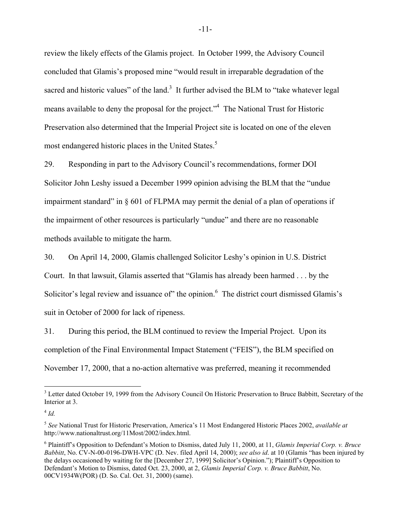review the likely effects of the Glamis project. In October 1999, the Advisory Council concluded that Glamis's proposed mine "would result in irreparable degradation of the sacred and historic values" of the land.<sup>3</sup> It further advised the BLM to "take whatever legal means available to deny the proposal for the project."<sup>4</sup> The National Trust for Historic Preservation also determined that the Imperial Project site is located on one of the eleven most endangered historic places in the United States.<sup>5</sup>

29. Responding in part to the Advisory Council's recommendations, former DOI Solicitor John Leshy issued a December 1999 opinion advising the BLM that the "undue impairment standard" in  $\S$  601 of FLPMA may permit the denial of a plan of operations if the impairment of other resources is particularly "undue" and there are no reasonable methods available to mitigate the harm.

30. On April 14, 2000, Glamis challenged Solicitor Leshy's opinion in U.S. District Court. In that lawsuit, Glamis asserted that "Glamis has already been harmed . . . by the Solicitor's legal review and issuance of" the opinion. $6$  The district court dismissed Glamis's suit in October of 2000 for lack of ripeness.

31. During this period, the BLM continued to review the Imperial Project. Upon its completion of the Final Environmental Impact Statement ("FEIS"), the BLM specified on November 17, 2000, that a no-action alternative was preferred, meaning it recommended

1

<sup>&</sup>lt;sup>3</sup> Letter dated October 19, 1999 from the Advisory Council On Historic Preservation to Bruce Babbitt, Secretary of the Interior at 3.

 $^{4}$  *Id.* 

<sup>5</sup> *See* National Trust for Historic Preservation, America's 11 Most Endangered Historic Places 2002, *available at* http://www.nationaltrust.org/11Most/2002/index.html.

<sup>6</sup> Plaintiff's Opposition to Defendant's Motion to Dismiss, dated July 11, 2000, at 11, *Glamis Imperial Corp. v. Bruce Babbitt*, No. CV-N-00-0196-DWH-VPC (D. Nev. filed April 14, 2000); *see also id*. at 10 (Glamis "has been injured by the delays occasioned by waiting for the [December 27, 1999] Solicitor's Opinion."); Plaintiff's Opposition to Defendant's Motion to Dismiss, dated Oct. 23, 2000, at 2, *Glamis Imperial Corp. v. Bruce Babbitt*, No. 00CV1934W(POR) (D. So. Cal. Oct. 31, 2000) (same).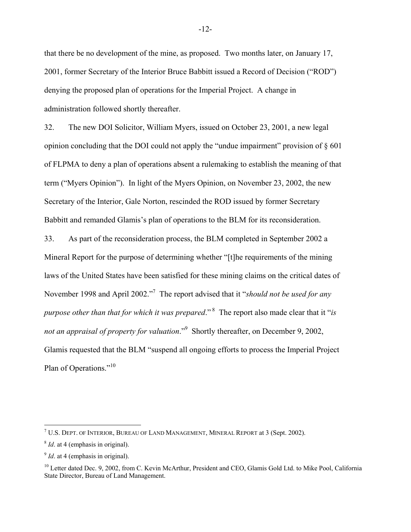that there be no development of the mine, as proposed. Two months later, on January 17, 2001, former Secretary of the Interior Bruce Babbitt issued a Record of Decision ("ROD") denying the proposed plan of operations for the Imperial Project. A change in administration followed shortly thereafter.

32. The new DOI Solicitor, William Myers, issued on October 23, 2001, a new legal opinion concluding that the DOI could not apply the "undue impairment" provision of § 601 of FLPMA to deny a plan of operations absent a rulemaking to establish the meaning of that term ("Myers Opinion"). In light of the Myers Opinion, on November 23, 2002, the new Secretary of the Interior, Gale Norton, rescinded the ROD issued by former Secretary Babbitt and remanded Glamis's plan of operations to the BLM for its reconsideration.

33. As part of the reconsideration process, the BLM completed in September 2002 a Mineral Report for the purpose of determining whether "[t]he requirements of the mining laws of the United States have been satisfied for these mining claims on the critical dates of November 1998 and April 2002.<sup>77</sup> The report advised that it "*should not be used for any purpose other than that for which it was prepared*." 8 The report also made clear that it "*is*  not an appraisal of property for valuation."<sup>9</sup> Shortly thereafter, on December 9, 2002, Glamis requested that the BLM "suspend all ongoing efforts to process the Imperial Project Plan of Operations."10

1

 $^7$  U.S. Dept. of Interior, Bureau of Land Management, Mineral Report at 3 (Sept. 2002).

<sup>&</sup>lt;sup>8</sup> *Id*. at 4 (emphasis in original).

<sup>&</sup>lt;sup>9</sup> *Id*. at 4 (emphasis in original).

<sup>&</sup>lt;sup>10</sup> Letter dated Dec. 9, 2002, from C. Kevin McArthur, President and CEO, Glamis Gold Ltd. to Mike Pool, California State Director, Bureau of Land Management.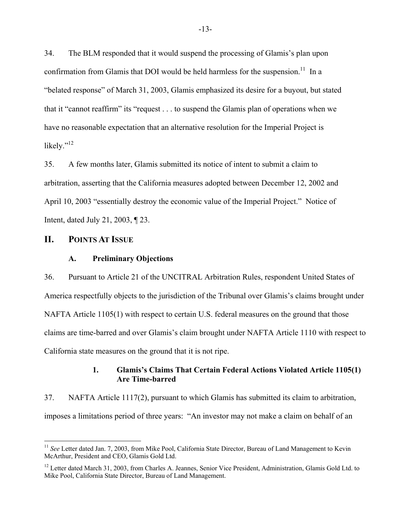34. The BLM responded that it would suspend the processing of Glamis's plan upon confirmation from Glamis that DOI would be held harmless for the suspension.<sup>11</sup> In a "belated response" of March 31, 2003, Glamis emphasized its desire for a buyout, but stated that it "cannot reaffirm" its "request . . . to suspend the Glamis plan of operations when we have no reasonable expectation that an alternative resolution for the Imperial Project is likely."<sup>12</sup>

35. A few months later, Glamis submitted its notice of intent to submit a claim to arbitration, asserting that the California measures adopted between December 12, 2002 and April 10, 2003 "essentially destroy the economic value of the Imperial Project." Notice of Intent, dated July 21, 2003, ¶ 23.

# **II. POINTS AT ISSUE**

<u>.</u>

## **A. Preliminary Objections**

36. Pursuant to Article 21 of the UNCITRAL Arbitration Rules, respondent United States of America respectfully objects to the jurisdiction of the Tribunal over Glamis's claims brought under NAFTA Article 1105(1) with respect to certain U.S. federal measures on the ground that those claims are time-barred and over Glamis's claim brought under NAFTA Article 1110 with respect to California state measures on the ground that it is not ripe.

# **1. Glamis's Claims That Certain Federal Actions Violated Article 1105(1) Are Time-barred**

37. NAFTA Article 1117(2), pursuant to which Glamis has submitted its claim to arbitration, imposes a limitations period of three years: "An investor may not make a claim on behalf of an

<sup>&</sup>lt;sup>11</sup> See Letter dated Jan. 7, 2003, from Mike Pool, California State Director, Bureau of Land Management to Kevin McArthur, President and CEO, Glamis Gold Ltd.

<sup>&</sup>lt;sup>12</sup> Letter dated March 31, 2003, from Charles A. Jeannes, Senior Vice President, Administration, Glamis Gold Ltd. to Mike Pool, California State Director, Bureau of Land Management.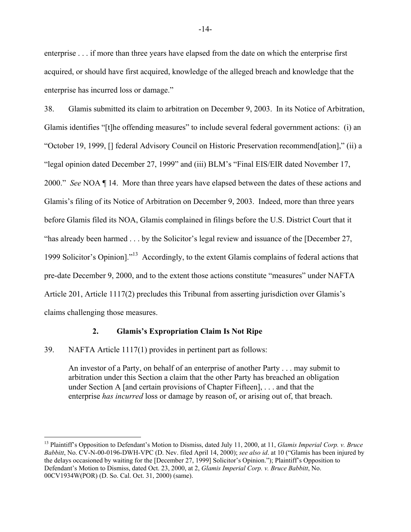enterprise . . . if more than three years have elapsed from the date on which the enterprise first acquired, or should have first acquired, knowledge of the alleged breach and knowledge that the enterprise has incurred loss or damage."

38. Glamis submitted its claim to arbitration on December 9, 2003. In its Notice of Arbitration, Glamis identifies "[t]he offending measures" to include several federal government actions: (i) an "October 19, 1999, [] federal Advisory Council on Historic Preservation recommend[ation]," (ii) a "legal opinion dated December 27, 1999" and (iii) BLM's "Final EIS/EIR dated November 17, 2000." *See* NOA ¶ 14. More than three years have elapsed between the dates of these actions and Glamis's filing of its Notice of Arbitration on December 9, 2003. Indeed, more than three years before Glamis filed its NOA, Glamis complained in filings before the U.S. District Court that it "has already been harmed . . . by the Solicitor's legal review and issuance of the [December 27, 1999 Solicitor's Opinion]."13 Accordingly, to the extent Glamis complains of federal actions that pre-date December 9, 2000, and to the extent those actions constitute "measures" under NAFTA Article 201, Article 1117(2) precludes this Tribunal from asserting jurisdiction over Glamis's claims challenging those measures.

## **2. Glamis's Expropriation Claim Is Not Ripe**

39. NAFTA Article 1117(1) provides in pertinent part as follows:

1

An investor of a Party, on behalf of an enterprise of another Party . . . may submit to arbitration under this Section a claim that the other Party has breached an obligation under Section A [and certain provisions of Chapter Fifteen], . . . and that the enterprise *has incurred* loss or damage by reason of, or arising out of, that breach.

<sup>13</sup> Plaintiff's Opposition to Defendant's Motion to Dismiss, dated July 11, 2000, at 11, *Glamis Imperial Corp. v. Bruce Babbitt*, No. CV-N-00-0196-DWH-VPC (D. Nev. filed April 14, 2000); *see also id*. at 10 ("Glamis has been injured by the delays occasioned by waiting for the [December 27, 1999] Solicitor's Opinion."); Plaintiff's Opposition to Defendant's Motion to Dismiss, dated Oct. 23, 2000, at 2, *Glamis Imperial Corp. v. Bruce Babbitt*, No. 00CV1934W(POR) (D. So. Cal. Oct. 31, 2000) (same).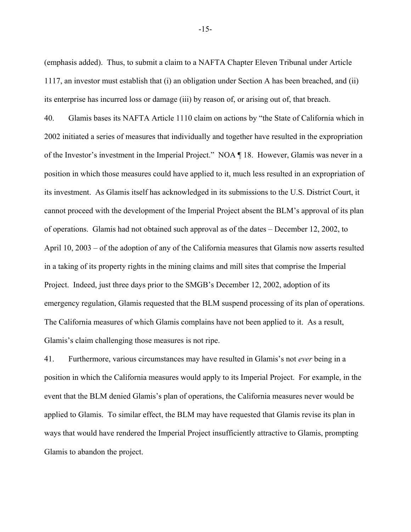(emphasis added). Thus, to submit a claim to a NAFTA Chapter Eleven Tribunal under Article 1117, an investor must establish that (i) an obligation under Section A has been breached, and (ii) its enterprise has incurred loss or damage (iii) by reason of, or arising out of, that breach.

40. Glamis bases its NAFTA Article 1110 claim on actions by "the State of California which in 2002 initiated a series of measures that individually and together have resulted in the expropriation of the Investor's investment in the Imperial Project." NOA ¶ 18. However, Glamis was never in a position in which those measures could have applied to it, much less resulted in an expropriation of its investment. As Glamis itself has acknowledged in its submissions to the U.S. District Court, it cannot proceed with the development of the Imperial Project absent the BLM's approval of its plan of operations. Glamis had not obtained such approval as of the dates – December 12, 2002, to April 10, 2003 – of the adoption of any of the California measures that Glamis now asserts resulted in a taking of its property rights in the mining claims and mill sites that comprise the Imperial Project. Indeed, just three days prior to the SMGB's December 12, 2002, adoption of its emergency regulation, Glamis requested that the BLM suspend processing of its plan of operations. The California measures of which Glamis complains have not been applied to it. As a result, Glamis's claim challenging those measures is not ripe.

41. Furthermore, various circumstances may have resulted in Glamis's not *ever* being in a position in which the California measures would apply to its Imperial Project. For example, in the event that the BLM denied Glamis's plan of operations, the California measures never would be applied to Glamis. To similar effect, the BLM may have requested that Glamis revise its plan in ways that would have rendered the Imperial Project insufficiently attractive to Glamis, prompting Glamis to abandon the project.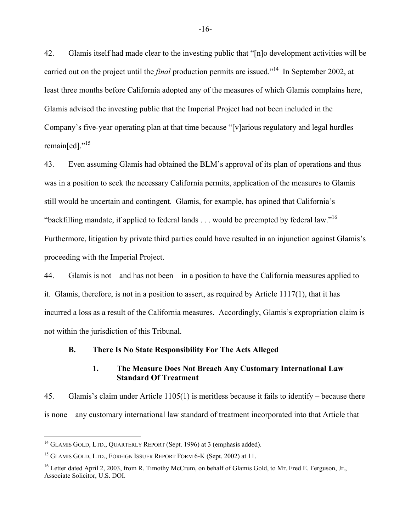42. Glamis itself had made clear to the investing public that "[n]o development activities will be carried out on the project until the *final* production permits are issued."14 In September 2002, at least three months before California adopted any of the measures of which Glamis complains here, Glamis advised the investing public that the Imperial Project had not been included in the Company's five-year operating plan at that time because "[v]arious regulatory and legal hurdles remain[ed]."<sup>15</sup>

43. Even assuming Glamis had obtained the BLM's approval of its plan of operations and thus was in a position to seek the necessary California permits, application of the measures to Glamis still would be uncertain and contingent. Glamis, for example, has opined that California's "backfilling mandate, if applied to federal lands . . . would be preempted by federal law."16 Furthermore, litigation by private third parties could have resulted in an injunction against Glamis's proceeding with the Imperial Project.

44. Glamis is not – and has not been – in a position to have the California measures applied to it. Glamis, therefore, is not in a position to assert, as required by Article 1117(1), that it has incurred a loss as a result of the California measures. Accordingly, Glamis's expropriation claim is not within the jurisdiction of this Tribunal.

## **B. There Is No State Responsibility For The Acts Alleged**

# **1. The Measure Does Not Breach Any Customary International Law Standard Of Treatment**

45. Glamis's claim under Article 1105(1) is meritless because it fails to identify – because there is none – any customary international law standard of treatment incorporated into that Article that

<u>.</u>

 $14$  GLAMIS GOLD, LTD., QUARTERLY REPORT (Sept. 1996) at 3 (emphasis added).

<sup>&</sup>lt;sup>15</sup> GLAMIS GOLD, LTD., FOREIGN ISSUER REPORT FORM 6-K (Sept. 2002) at 11.

<sup>&</sup>lt;sup>16</sup> Letter dated April 2, 2003, from R. Timothy McCrum, on behalf of Glamis Gold, to Mr. Fred E. Ferguson, Jr., Associate Solicitor, U.S. DOI.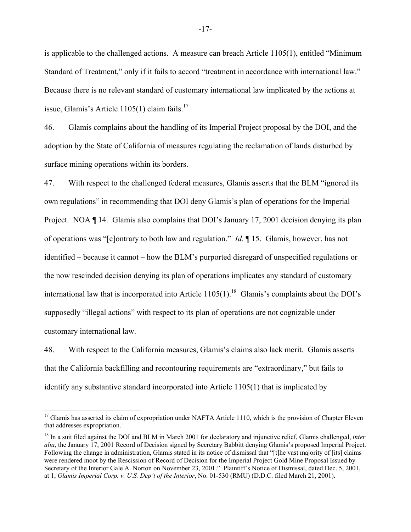is applicable to the challenged actions. A measure can breach Article 1105(1), entitled "Minimum Standard of Treatment," only if it fails to accord "treatment in accordance with international law." Because there is no relevant standard of customary international law implicated by the actions at issue, Glamis's Article  $1105(1)$  claim fails.<sup>17</sup>

46. Glamis complains about the handling of its Imperial Project proposal by the DOI, and the adoption by the State of California of measures regulating the reclamation of lands disturbed by surface mining operations within its borders.

47. With respect to the challenged federal measures, Glamis asserts that the BLM "ignored its own regulations" in recommending that DOI deny Glamis's plan of operations for the Imperial Project. NOA ¶ 14. Glamis also complains that DOI's January 17, 2001 decision denying its plan of operations was "[c]ontrary to both law and regulation." *Id.* ¶ 15. Glamis, however, has not identified – because it cannot – how the BLM's purported disregard of unspecified regulations or the now rescinded decision denying its plan of operations implicates any standard of customary international law that is incorporated into Article  $1105(1)$ .<sup>18</sup> Glamis's complaints about the DOI's supposedly "illegal actions" with respect to its plan of operations are not cognizable under customary international law.

48. With respect to the California measures, Glamis's claims also lack merit. Glamis asserts that the California backfilling and recontouring requirements are "extraordinary," but fails to identify any substantive standard incorporated into Article 1105(1) that is implicated by

1

<sup>&</sup>lt;sup>17</sup> Glamis has asserted its claim of expropriation under NAFTA Article 1110, which is the provision of Chapter Eleven that addresses expropriation.

<sup>18</sup> In a suit filed against the DOI and BLM in March 2001 for declaratory and injunctive relief, Glamis challenged, *inter alia*, the January 17, 2001 Record of Decision signed by Secretary Babbitt denying Glamis's proposed Imperial Project. Following the change in administration, Glamis stated in its notice of dismissal that "[t]he vast majority of [its] claims were rendered moot by the Rescission of Record of Decision for the Imperial Project Gold Mine Proposal Issued by Secretary of the Interior Gale A. Norton on November 23, 2001." Plaintiff's Notice of Dismissal, dated Dec. 5, 2001, at 1, *Glamis Imperial Corp. v. U.S. Dep't of the Interior*, No. 01-530 (RMU) (D.D.C. filed March 21, 2001).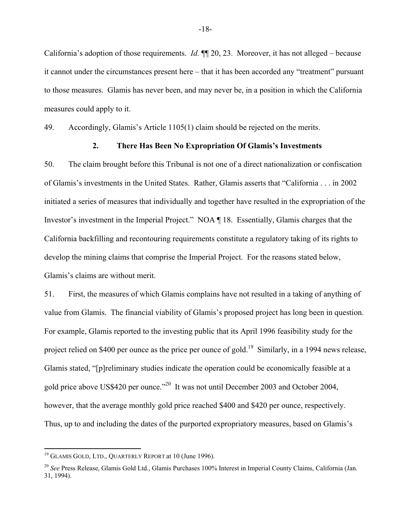California's adoption of those requirements. *Id.* ¶¶ 20, 23. Moreover, it has not alleged – because it cannot under the circumstances present here – that it has been accorded any "treatment" pursuant to those measures. Glamis has never been, and may never be, in a position in which the California measures could apply to it.

49. Accordingly, Glamis's Article 1105(1) claim should be rejected on the merits.

# **2. There Has Been No Expropriation Of Glamis's Investments**

50. The claim brought before this Tribunal is not one of a direct nationalization or confiscation of Glamis's investments in the United States. Rather, Glamis asserts that "California . . . in 2002 initiated a series of measures that individually and together have resulted in the expropriation of the Investor's investment in the Imperial Project." NOA ¶ 18. Essentially, Glamis charges that the California backfilling and recontouring requirements constitute a regulatory taking of its rights to develop the mining claims that comprise the Imperial Project. For the reasons stated below, Glamis's claims are without merit.

51. First, the measures of which Glamis complains have not resulted in a taking of anything of value from Glamis. The financial viability of Glamis's proposed project has long been in question. For example, Glamis reported to the investing public that its April 1996 feasibility study for the project relied on \$400 per ounce as the price per ounce of gold.<sup>19</sup> Similarly, in a 1994 news release, Glamis stated, "[p]reliminary studies indicate the operation could be economically feasible at a gold price above US\$420 per ounce."20 It was not until December 2003 and October 2004, however, that the average monthly gold price reached \$400 and \$420 per ounce, respectively. Thus, up to and including the dates of the purported expropriatory measures, based on Glamis's

1

-18-

 $19$  GLAMIS GOLD, LTD., QUARTERLY REPORT at 10 (June 1996).

<sup>20</sup> *See* Press Release, Glamis Gold Ltd., Glamis Purchases 100% Interest in Imperial County Claims, California (Jan. 31, 1994).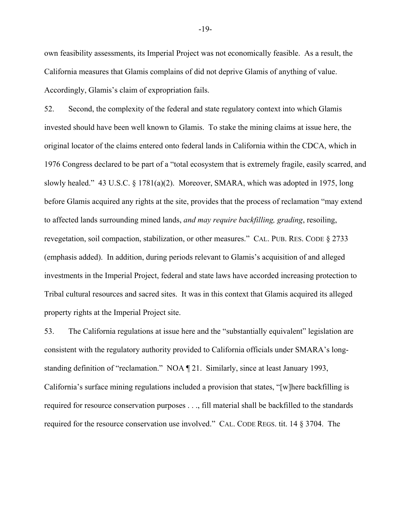own feasibility assessments, its Imperial Project was not economically feasible. As a result, the California measures that Glamis complains of did not deprive Glamis of anything of value. Accordingly, Glamis's claim of expropriation fails.

52. Second, the complexity of the federal and state regulatory context into which Glamis invested should have been well known to Glamis. To stake the mining claims at issue here, the original locator of the claims entered onto federal lands in California within the CDCA, which in 1976 Congress declared to be part of a "total ecosystem that is extremely fragile, easily scarred, and slowly healed." 43 U.S.C. § 1781(a)(2). Moreover, SMARA, which was adopted in 1975, long before Glamis acquired any rights at the site, provides that the process of reclamation "may extend to affected lands surrounding mined lands, *and may require backfilling, grading*, resoiling, revegetation, soil compaction, stabilization, or other measures." CAL. PUB. RES. CODE § 2733 (emphasis added). In addition, during periods relevant to Glamis's acquisition of and alleged investments in the Imperial Project, federal and state laws have accorded increasing protection to Tribal cultural resources and sacred sites. It was in this context that Glamis acquired its alleged property rights at the Imperial Project site.

53. The California regulations at issue here and the "substantially equivalent" legislation are consistent with the regulatory authority provided to California officials under SMARA's longstanding definition of "reclamation." NOA ¶ 21. Similarly, since at least January 1993, California's surface mining regulations included a provision that states, "[w]here backfilling is required for resource conservation purposes . . ., fill material shall be backfilled to the standards required for the resource conservation use involved." CAL. CODE REGS. tit. 14 § 3704. The

-19-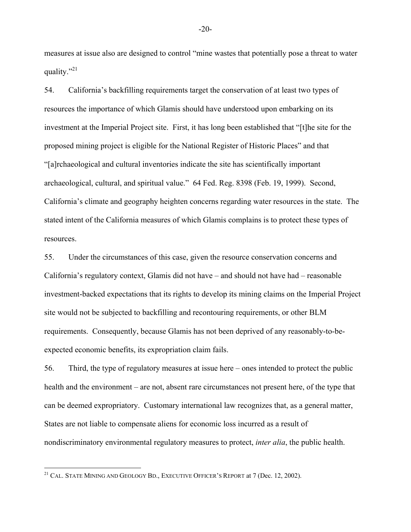measures at issue also are designed to control "mine wastes that potentially pose a threat to water quality."<sup>21</sup>

54. California's backfilling requirements target the conservation of at least two types of resources the importance of which Glamis should have understood upon embarking on its investment at the Imperial Project site. First, it has long been established that "[t]he site for the proposed mining project is eligible for the National Register of Historic Places" and that "[a]rchaeological and cultural inventories indicate the site has scientifically important archaeological, cultural, and spiritual value." 64 Fed. Reg. 8398 (Feb. 19, 1999). Second, California's climate and geography heighten concerns regarding water resources in the state. The stated intent of the California measures of which Glamis complains is to protect these types of resources.

55. Under the circumstances of this case, given the resource conservation concerns and California's regulatory context, Glamis did not have – and should not have had – reasonable investment-backed expectations that its rights to develop its mining claims on the Imperial Project site would not be subjected to backfilling and recontouring requirements, or other BLM requirements. Consequently, because Glamis has not been deprived of any reasonably-to-beexpected economic benefits, its expropriation claim fails.

56. Third, the type of regulatory measures at issue here – ones intended to protect the public health and the environment – are not, absent rare circumstances not present here, of the type that can be deemed expropriatory. Customary international law recognizes that, as a general matter, States are not liable to compensate aliens for economic loss incurred as a result of nondiscriminatory environmental regulatory measures to protect, *inter alia*, the public health.

<u>.</u>

-20-

<sup>&</sup>lt;sup>21</sup> CAL. STATE MINING AND GEOLOGY BD., EXECUTIVE OFFICER'S REPORT at 7 (Dec. 12, 2002).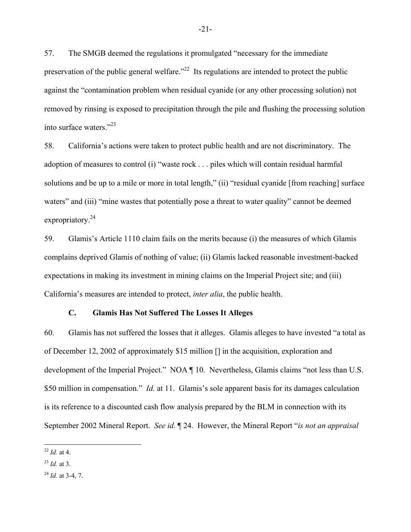57. The SMGB deemed the regulations it promulgated "necessary for the immediate preservation of the public general welfare.<sup> $22$ </sup> Its regulations are intended to protect the public against the "contamination problem when residual cyanide (or any other processing solution) not removed by rinsing is exposed to precipitation through the pile and flushing the processing solution into surface waters."23

58. California's actions were taken to protect public health and are not discriminatory. The adoption of measures to control (i) "waste rock . . . piles which will contain residual harmful solutions and be up to a mile or more in total length," (ii) "residual cyanide [from reaching] surface waters" and (iii) "mine wastes that potentially pose a threat to water quality" cannot be deemed expropriatory.<sup>24</sup>

59. Glamis's Article 1110 claim fails on the merits because (i) the measures of which Glamis complains deprived Glamis of nothing of value; (ii) Glamis lacked reasonable investment-backed expectations in making its investment in mining claims on the Imperial Project site; and (iii) California's measures are intended to protect, *inter alia*, the public health.

## **C. Glamis Has Not Suffered The Losses It Alleges**

60. Glamis has not suffered the losses that it alleges. Glamis alleges to have invested "a total as of December 12, 2002 of approximately \$15 million [] in the acquisition, exploration and development of the Imperial Project." NOA ¶ 10. Nevertheless, Glamis claims "not less than U.S. \$50 million in compensation." *Id.* at 11. Glamis's sole apparent basis for its damages calculation is its reference to a discounted cash flow analysis prepared by the BLM in connection with its September 2002 Mineral Report. *See id.* ¶ 24. However, the Mineral Report "*is not an appraisal* 

<sup>1</sup> <sup>22</sup> *Id.* at 4.

<sup>23</sup> *Id.* at 3.

<sup>24</sup> *Id.* at 3-4, 7.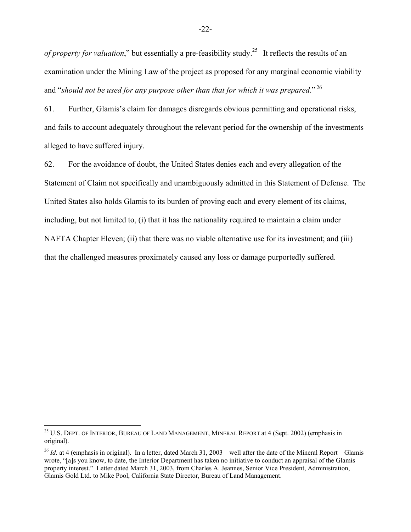*of property for valuation*," but essentially a pre-feasibility study.<sup>25</sup> It reflects the results of an examination under the Mining Law of the project as proposed for any marginal economic viability and "*should not be used for any purpose other than that for which it was prepared*."<sup>26</sup>

61. Further, Glamis's claim for damages disregards obvious permitting and operational risks, and fails to account adequately throughout the relevant period for the ownership of the investments alleged to have suffered injury.

62. For the avoidance of doubt, the United States denies each and every allegation of the Statement of Claim not specifically and unambiguously admitted in this Statement of Defense. The United States also holds Glamis to its burden of proving each and every element of its claims, including, but not limited to, (i) that it has the nationality required to maintain a claim under NAFTA Chapter Eleven; (ii) that there was no viable alternative use for its investment; and (iii) that the challenged measures proximately caused any loss or damage purportedly suffered.

1

<sup>&</sup>lt;sup>25</sup> U.S. DEPT. OF INTERIOR, BUREAU OF LAND MANAGEMENT, MINERAL REPORT at 4 (Sept. 2002) (emphasis in original).

<sup>&</sup>lt;sup>26</sup> *Id.* at 4 (emphasis in original). In a letter, dated March 31, 2003 – well after the date of the Mineral Report – Glamis wrote, "[a]s you know, to date, the Interior Department has taken no initiative to conduct an appraisal of the Glamis property interest." Letter dated March 31, 2003, from Charles A. Jeannes, Senior Vice President, Administration, Glamis Gold Ltd. to Mike Pool, California State Director, Bureau of Land Management.